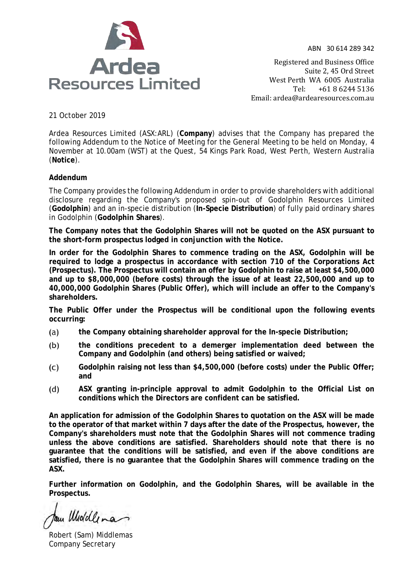



Registered and Business Office Suite 2, 45 Ord Street West Perth WA 6005 Australia<br>Tel: +61 8 6244 5136 Tel: +61 8 6244 5136 Email: [ardea@ardearesources.com.au](mailto:ardea@ardearesources.com.au)

21 October 2019

Ardea Resources Limited (ASX:ARL) (**Company**) advises that the Company has prepared the following Addendum to the Notice of Meeting for the General Meeting to be held on Monday, 4 November at 10.00am (WST) at the Quest, 54 Kings Park Road, West Perth, Western Australia (**Notice**).

# **Addendum**

The Company provides the following Addendum in order to provide shareholders with additional disclosure regarding the Company's proposed spin-out of Godolphin Resources Limited (**Godolphin**) and an in-specie distribution (**In-Specie Distribution**) of fully paid ordinary shares in Godolphin (**Godolphin Shares**).

**The Company notes that the Godolphin Shares will not be quoted on the ASX pursuant to the short-form prospectus lodged in conjunction with the Notice.**

**In order for the Godolphin Shares to commence trading on the ASX, Godolphin will be required to lodge a prospectus in accordance with section 710 of the Corporations Act (Prospectus). The Prospectus will contain an offer by Godolphin to raise at least \$4,500,000 and up to \$8,000,000 (before costs) through the issue of at least 22,500,000 and up to 40,000,000 Godolphin Shares (Public Offer), which will include an offer to the Company's shareholders.** 

**The Public Offer under the Prospectus will be conditional upon the following events occurring:**

- $(a)$ **the Company obtaining shareholder approval for the In-specie Distribution;**
- **the conditions precedent to a demerger implementation deed between the**   $(b)$ **Company and Godolphin (and others) being satisfied or waived;**
- **Godolphin raising not less than \$4,500,000 (before costs) under the Public Offer;**   $(C)$ **and**
- $(d)$ **ASX granting in-principle approval to admit Godolphin to the Official List on conditions which the Directors are confident can be satisfied.**

**An application for admission of the Godolphin Shares to quotation on the ASX will be made to the operator of that market within 7 days after the date of the Prospectus, however, the Company's shareholders must note that the Godolphin Shares will not commence trading unless the above conditions are satisfied. Shareholders should note that there is no guarantee that the conditions will be satisfied, and even if the above conditions are satisfied, there is no guarantee that the Godolphin Shares will commence trading on the ASX.** 

**Further information on Godolphin, and the Godolphin Shares, will be available in the Prospectus.** 

tom Widdlena

Robert (Sam) Middlemas Company Secretary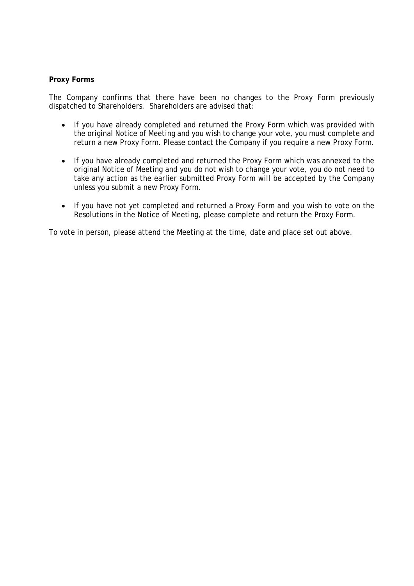### **Proxy Forms**

The Company confirms that there have been no changes to the Proxy Form previously dispatched to Shareholders. Shareholders are advised that:

- If you have already completed and returned the Proxy Form which was provided with the original Notice of Meeting and you wish to change your vote, you must complete and return a new Proxy Form. Please contact the Company if you require a new Proxy Form.
- If you have already completed and returned the Proxy Form which was annexed to the original Notice of Meeting and you do not wish to change your vote, you do not need to take any action as the earlier submitted Proxy Form will be accepted by the Company unless you submit a new Proxy Form.
- If you have not yet completed and returned a Proxy Form and you wish to vote on the Resolutions in the Notice of Meeting, please complete and return the Proxy Form.

To vote in person, please attend the Meeting at the time, date and place set out above.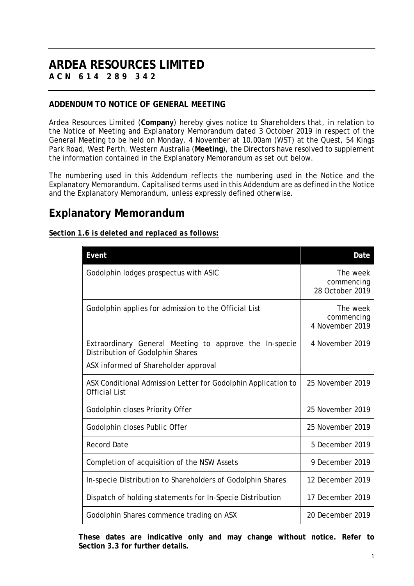# **ARDEA RESOURCES LIMITED ACN 614 289 342**

# **ADDENDUM TO NOTICE OF GENERAL MEETING**

Ardea Resources Limited (**Company**) hereby gives notice to Shareholders that, in relation to the Notice of Meeting and Explanatory Memorandum dated 3 October 2019 in respect of the General Meeting to be held on Monday, 4 November at 10.00am (WST) at the Quest, 54 Kings Park Road, West Perth, Western Australia (**Meeting**), the Directors have resolved to supplement the information contained in the Explanatory Memorandum as set out below.

The numbering used in this Addendum reflects the numbering used in the Notice and the Explanatory Memorandum. Capitalised terms used in this Addendum are as defined in the Notice and the Explanatory Memorandum, unless expressly defined otherwise.

# **Explanatory Memorandum**

*Section 1.6 is deleted and replaced as follows:*

| Event                                                                                      | Date                                      |  |  |
|--------------------------------------------------------------------------------------------|-------------------------------------------|--|--|
| Godolphin lodges prospectus with ASIC                                                      | The week<br>commencing<br>28 October 2019 |  |  |
| Godolphin applies for admission to the Official List                                       | The week<br>commencing<br>4 November 2019 |  |  |
| Extraordinary General Meeting to approve the In-specie<br>Distribution of Godolphin Shares | 4 November 2019                           |  |  |
| ASX informed of Shareholder approval                                                       |                                           |  |  |
| ASX Conditional Admission Letter for Godolphin Application to<br><b>Official List</b>      | 25 November 2019                          |  |  |
| Godolphin closes Priority Offer                                                            | 25 November 2019                          |  |  |
| Godolphin closes Public Offer                                                              | 25 November 2019                          |  |  |
| <b>Record Date</b>                                                                         | 5 December 2019                           |  |  |
| Completion of acquisition of the NSW Assets                                                | 9 December 2019                           |  |  |
| In-specie Distribution to Shareholders of Godolphin Shares                                 | 12 December 2019                          |  |  |
| Dispatch of holding statements for In-Specie Distribution                                  | 17 December 2019                          |  |  |
| Godolphin Shares commence trading on ASX                                                   | 20 December 2019                          |  |  |

**These dates are indicative only and may change without notice. Refer to Section 3.3 for further details.**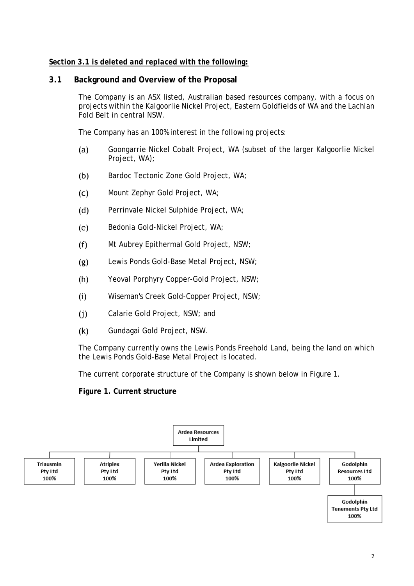# *Section 3.1 is deleted and replaced with the following:*

# **3.1 Background and Overview of the Proposal**

The Company is an ASX listed, Australian based resources company, with a focus on projects within the Kalgoorlie Nickel Project, Eastern Goldfields of WA and the Lachlan Fold Belt in central NSW.

The Company has an 100% interest in the following projects:

- Goongarrie Nickel Cobalt Project, WA (subset of the larger Kalgoorlie Nickel  $(a)$ Project, WA);
- $(b)$ Bardoc Tectonic Zone Gold Project, WA;
- $(C)$ Mount Zephyr Gold Project, WA;
- $(d)$ Perrinvale Nickel Sulphide Project, WA;
- $(e)$ Bedonia Gold-Nickel Project, WA;
- $(f)$ Mt Aubrey Epithermal Gold Project, NSW;
- $(g)$ Lewis Ponds Gold-Base Metal Project, NSW;
- $(h)$ Yeoval Porphyry Copper-Gold Project, NSW;
- $(i)$ Wiseman's Creek Gold-Copper Project, NSW;
- $(i)$ Calarie Gold Project, NSW; and
- $(k)$ Gundagai Gold Project, NSW.

The Company currently owns the Lewis Ponds Freehold Land, being the land on which the Lewis Ponds Gold-Base Metal Project is located.

The current corporate structure of the Company is shown below in Figure 1.

**Figure 1. Current structure** 

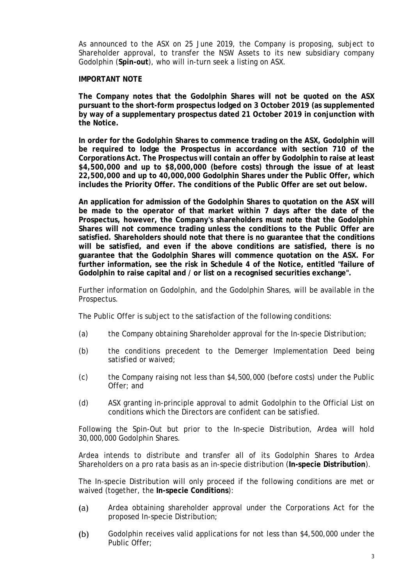As announced to the ASX on 25 June 2019, the Company is proposing, subject to Shareholder approval, to transfer the NSW Assets to its new subsidiary company Godolphin (**Spin-out**), who will in-turn seek a listing on ASX.

#### **IMPORTANT NOTE**

**The Company notes that the Godolphin Shares will not be quoted on the ASX pursuant to the short-form prospectus lodged on 3 October 2019 (as supplemented by way of a supplementary prospectus dated 21 October 2019 in conjunction with the Notice.**

**In order for the Godolphin Shares to commence trading on the ASX, Godolphin will be required to lodge the Prospectus in accordance with section 710 of the Corporations Act. The Prospectus will contain an offer by Godolphin to raise at least \$4,500,000 and up to \$8,000,000 (before costs) through the issue of at least 22,500,000 and up to 40,000,000 Godolphin Shares under the Public Offer, which includes the Priority Offer. The conditions of the Public Offer are set out below.**

**An application for admission of the Godolphin Shares to quotation on the ASX will be made to the operator of that market within 7 days after the date of the Prospectus, however, the Company's shareholders must note that the Godolphin Shares will not commence trading unless the conditions to the Public Offer are satisfied. Shareholders should note that there is no guarantee that the conditions will be satisfied, and even if the above conditions are satisfied, there is no guarantee that the Godolphin Shares will commence quotation on the ASX. For further information, see the risk in Schedule 4 of the Notice, entitled "failure of Godolphin to raise capital and / or list on a recognised securities exchange".** 

Further information on Godolphin, and the Godolphin Shares, will be available in the Prospectus.

The Public Offer is subject to the satisfaction of the following conditions:

- (a) the Company obtaining Shareholder approval for the In-specie Distribution;
- (b) the conditions precedent to the Demerger Implementation Deed being satisfied or waived;
- (c) the Company raising not less than \$4,500,000 (before costs) under the Public Offer; and
- (d) ASX granting in-principle approval to admit Godolphin to the Official List on conditions which the Directors are confident can be satisfied.

Following the Spin-Out but prior to the In-specie Distribution, Ardea will hold 30,000,000 Godolphin Shares.

Ardea intends to distribute and transfer all of its Godolphin Shares to Ardea Shareholders on a pro rata basis as an in-specie distribution (**In-specie Distribution**).

The In-specie Distribution will only proceed if the following conditions are met or waived (together, the **In-specie Conditions**):

- $(a)$ Ardea obtaining shareholder approval under the Corporations Act for the proposed In-specie Distribution;
- $(b)$ Godolphin receives valid applications for not less than \$4,500,000 under the Public Offer;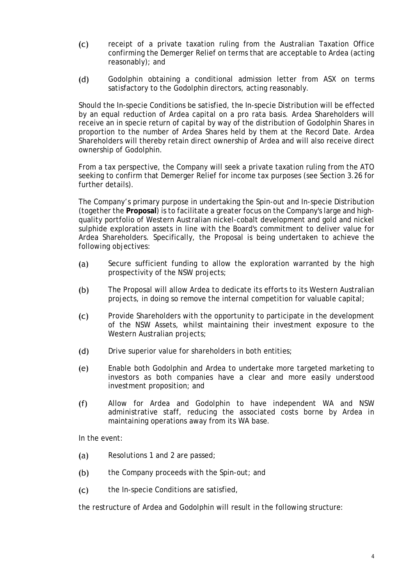- $(c)$ receipt of a private taxation ruling from the Australian Taxation Office confirming the Demerger Relief on terms that are acceptable to Ardea (acting reasonably); and
- $(d)$ Godolphin obtaining a conditional admission letter from ASX on terms satisfactory to the Godolphin directors, acting reasonably.

Should the In-specie Conditions be satisfied, the In-specie Distribution will be effected by an equal reduction of Ardea capital on a pro rata basis. Ardea Shareholders will receive an in specie return of capital by way of the distribution of Godolphin Shares in proportion to the number of Ardea Shares held by them at the Record Date. Ardea Shareholders will thereby retain direct ownership of Ardea and will also receive direct ownership of Godolphin.

From a tax perspective, the Company will seek a private taxation ruling from the ATO seeking to confirm that Demerger Relief for income tax purposes (see Section 3.26 for further details).

The Company's primary purpose in undertaking the Spin-out and In-specie Distribution (together the **Proposal**) is to facilitate a greater focus on the Company's large and highquality portfolio of Western Australian nickel-cobalt development and gold and nickel sulphide exploration assets in line with the Board's commitment to deliver value for Ardea Shareholders. Specifically, the Proposal is being undertaken to achieve the following objectives:

- Secure sufficient funding to allow the exploration warranted by the high  $(a)$ prospectivity of the NSW projects;
- $(b)$ The Proposal will allow Ardea to dedicate its efforts to its Western Australian projects, in doing so remove the internal competition for valuable capital;
- $(c)$ Provide Shareholders with the opportunity to participate in the development of the NSW Assets, whilst maintaining their investment exposure to the Western Australian projects;
- $(d)$ Drive superior value for shareholders in both entities;
- $(e)$ Enable both Godolphin and Ardea to undertake more targeted marketing to investors as both companies have a clear and more easily understood investment proposition; and
- $(f)$ Allow for Ardea and Godolphin to have independent WA and NSW administrative staff, reducing the associated costs borne by Ardea in maintaining operations away from its WA base.

In the event:

- $(a)$ Resolutions 1 and 2 are passed;
- $(b)$ the Company proceeds with the Spin-out; and
- $(C)$ the In-specie Conditions are satisfied,

the restructure of Ardea and Godolphin will result in the following structure: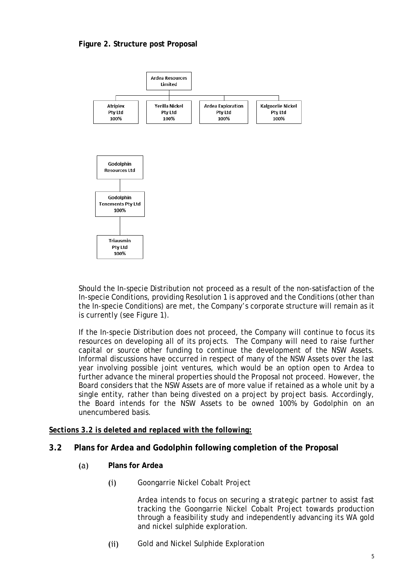# **Figure 2. Structure post Proposal**



Should the In-specie Distribution not proceed as a result of the non-satisfaction of the In-specie Conditions, providing Resolution 1 is approved and the Conditions (other than the In-specie Conditions) are met, the Company's corporate structure will remain as it is currently (see Figure 1).

If the In-specie Distribution does not proceed, the Company will continue to focus its resources on developing all of its projects. The Company will need to raise further capital or source other funding to continue the development of the NSW Assets. Informal discussions have occurred in respect of many of the NSW Assets over the last year involving possible joint ventures, which would be an option open to Ardea to further advance the mineral properties should the Proposal not proceed. However, the Board considers that the NSW Assets are of more value if retained as a whole unit by a single entity, rather than being divested on a project by project basis. Accordingly, the Board intends for the NSW Assets to be owned 100% by Godolphin on an unencumbered basis.

# *Sections 3.2 is deleted and replaced with the following:*

# **3.2 Plans for Ardea and Godolphin following completion of the Proposal**

- **Plans for Ardea**  $(a)$ 
	- $(i)$ Goongarrie Nickel Cobalt Project

Ardea intends to focus on securing a strategic partner to assist fast tracking the Goongarrie Nickel Cobalt Project towards production through a feasibility study and independently advancing its WA gold and nickel sulphide exploration.

 $(ii)$ Gold and Nickel Sulphide Exploration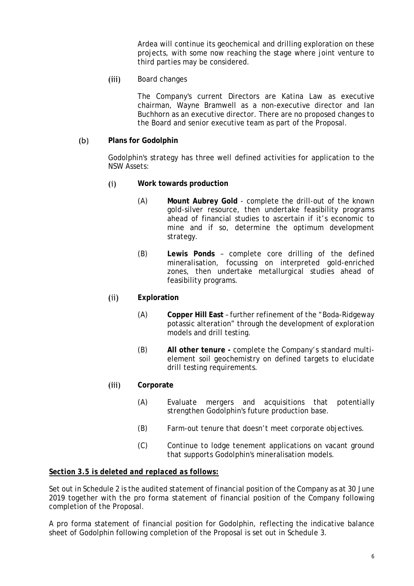Ardea will continue its geochemical and drilling exploration on these projects, with some now reaching the stage where joint venture to third parties may be considered.

 $(iii)$ Board changes

> The Company's current Directors are Katina Law as executive chairman, Wayne Bramwell as a non-executive director and Ian Buchhorn as an executive director. There are no proposed changes to the Board and senior executive team as part of the Proposal.

#### $(b)$ **Plans for Godolphin**

Godolphin's strategy has three well defined activities for application to the NSW Assets:

- $(i)$ **Work towards production**
	- (A) **Mount Aubrey Gold** complete the drill-out of the known gold-silver resource, then undertake feasibility programs ahead of financial studies to ascertain if it's economic to mine and if so, determine the optimum development strategy.
	- (B) **Lewis Ponds** complete core drilling of the defined mineralisation, focussing on interpreted gold-enriched zones, then undertake metallurgical studies ahead of feasibility programs.

#### **Exploration**  $(ii)$

- (A) **Copper Hill East** further refinement of the "Boda-Ridgeway potassic alteration" through the development of exploration models and drill testing.
- (B) **All other tenure -** complete the Company's standard multielement soil geochemistry on defined targets to elucidate drill testing requirements.

#### $(iii)$ **Corporate**

- (A) Evaluate mergers and acquisitions that potentially strengthen Godolphin's future production base.
- (B) Farm-out tenure that doesn't meet corporate objectives.
- (C) Continue to lodge tenement applications on vacant ground that supports Godolphin's mineralisation models.

# *Section 3.5 is deleted and replaced as follows:*

Set out in Schedule 2 is the audited statement of financial position of the Company as at 30 June 2019 together with the pro forma statement of financial position of the Company following completion of the Proposal.

A pro forma statement of financial position for Godolphin, reflecting the indicative balance sheet of Godolphin following completion of the Proposal is set out in Schedule 3.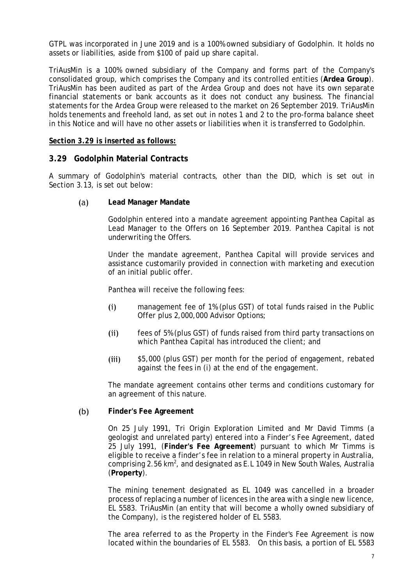GTPL was incorporated in June 2019 and is a 100% owned subsidiary of Godolphin. It holds no assets or liabilities, aside from \$100 of paid up share capital.

TriAusMin is a 100% owned subsidiary of the Company and forms part of the Company's consolidated group, which comprises the Company and its controlled entities (**Ardea Group**). TriAusMin has been audited as part of the Ardea Group and does not have its own separate financial statements or bank accounts as it does not conduct any business. The financial statements for the Ardea Group were released to the market on 26 September 2019. TriAusMin holds tenements and freehold land, as set out in notes 1 and 2 to the pro-forma balance sheet in this Notice and will have no other assets or liabilities when it is transferred to Godolphin.

# *Section 3.29 is inserted as follows:*

#### **3.29 Godolphin Material Contracts**

A summary of Godolphin's material contracts, other than the DID, which is set out in Section 3.13, is set out below:

#### $(a)$ **Lead Manager Mandate**

Godolphin entered into a mandate agreement appointing Panthea Capital as Lead Manager to the Offers on 16 September 2019. Panthea Capital is not underwriting the Offers.

Under the mandate agreement, Panthea Capital will provide services and assistance customarily provided in connection with marketing and execution of an initial public offer.

Panthea will receive the following fees:

- $(i)$ management fee of 1% (plus GST) of total funds raised in the Public Offer plus 2,000,000 Advisor Options;
- $(ii)$ fees of 5% (plus GST) of funds raised from third party transactions on which Panthea Capital has introduced the client; and
- \$5,000 (plus GST) per month for the period of engagement, rebated  $(iii)$ against the fees in (i) at the end of the engagement.

The mandate agreement contains other terms and conditions customary for an agreement of this nature.

#### $(b)$ **Finder's Fee Agreement**

On 25 July 1991, Tri Origin Exploration Limited and Mr David Timms (a geologist and unrelated party) entered into a Finder's Fee Agreement, dated 25 July 1991, (**Finder's Fee Agreement**) pursuant to which Mr Timms is eligible to receive a finder's fee in relation to a mineral property in Australia, comprising 2.56 km<sup>2</sup>, and designated as E.L 1049 in New South Wales, Australia (**Property**).

The mining tenement designated as EL 1049 was cancelled in a broader process of replacing a number of licences in the area with a single new licence, EL 5583. TriAusMin (an entity that will become a wholly owned subsidiary of the Company), is the registered holder of EL 5583.

The area referred to as the Property in the Finder's Fee Agreement is now located within the boundaries of EL 5583. On this basis, a portion of EL 5583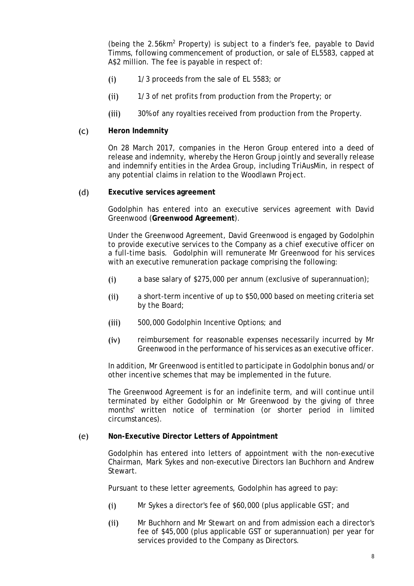(being the 2.56km2 Property) is subject to a finder's fee, payable to David Timms, following commencement of production, or sale of EL5583, capped at A\$2 million. The fee is payable in respect of:

- $(i)$ 1/3 proceeds from the sale of EL 5583; or
- $(ii)$ 1/3 of net profits from production from the Property; or
- $(iii)$ 30% of any royalties received from production from the Property.
- $(C)$ **Heron Indemnity**

On 28 March 2017, companies in the Heron Group entered into a deed of release and indemnity, whereby the Heron Group jointly and severally release and indemnify entities in the Ardea Group, including TriAusMin, in respect of any potential claims in relation to the Woodlawn Project.

 $(d)$ **Executive services agreement**

> Godolphin has entered into an executive services agreement with David Greenwood (**Greenwood Agreement**).

> Under the Greenwood Agreement, David Greenwood is engaged by Godolphin to provide executive services to the Company as a chief executive officer on a full-time basis. Godolphin will remunerate Mr Greenwood for his services with an executive remuneration package comprising the following:

- a base salary of \$275,000 per annum (exclusive of superannuation);  $(i)$
- $(ii)$ a short-term incentive of up to \$50,000 based on meeting criteria set by the Board;
- $(iii)$ 500,000 Godolphin Incentive Options; and
- $(iv)$ reimbursement for reasonable expenses necessarily incurred by Mr Greenwood in the performance of his services as an executive officer.

In addition, Mr Greenwood is entitled to participate in Godolphin bonus and/or other incentive schemes that may be implemented in the future.

The Greenwood Agreement is for an indefinite term, and will continue until terminated by either Godolphin or Mr Greenwood by the giving of three months' written notice of termination (or shorter period in limited circumstances).

#### $(e)$ **Non-Executive Director Letters of Appointment**

Godolphin has entered into letters of appointment with the non-executive Chairman, Mark Sykes and non-executive Directors Ian Buchhorn and Andrew Stewart.

Pursuant to these letter agreements, Godolphin has agreed to pay:

- $(i)$ Mr Sykes a director's fee of \$60,000 (plus applicable GST; and
- Mr Buchhorn and Mr Stewart on and from admission each a director's  $(ii)$ fee of \$45,000 (plus applicable GST or superannuation) per year for services provided to the Company as Directors.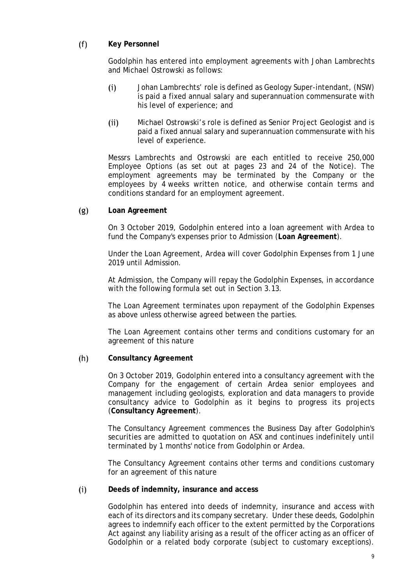#### $(f)$ **Key Personnel**

Godolphin has entered into employment agreements with Johan Lambrechts and Michael Ostrowski as follows:

- Johan Lambrechts' role is defined as Geology Super-intendant, (NSW)  $(i)$ is paid a fixed annual salary and superannuation commensurate with his level of experience; and
- $(ii)$ Michael Ostrowski's role is defined as Senior Project Geologist and is paid a fixed annual salary and superannuation commensurate with his level of experience.

Messrs Lambrechts and Ostrowski are each entitled to receive 250,000 Employee Options (as set out at pages 23 and 24 of the Notice). The employment agreements may be terminated by the Company or the employees by 4 weeks written notice, and otherwise contain terms and conditions standard for an employment agreement.

#### **Loan Agreement**  $(g)$

On 3 October 2019, Godolphin entered into a loan agreement with Ardea to fund the Company's expenses prior to Admission (**Loan Agreement**).

Under the Loan Agreement, Ardea will cover Godolphin Expenses from 1 June 2019 until Admission.

At Admission, the Company will repay the Godolphin Expenses, in accordance with the following formula set out in Section 3.13.

The Loan Agreement terminates upon repayment of the Godolphin Expenses as above unless otherwise agreed between the parties.

The Loan Agreement contains other terms and conditions customary for an agreement of this nature

#### $(h)$ **Consultancy Agreement**

On 3 October 2019, Godolphin entered into a consultancy agreement with the Company for the engagement of certain Ardea senior employees and management including geologists, exploration and data managers to provide consultancy advice to Godolphin as it begins to progress its projects (**Consultancy Agreement**).

The Consultancy Agreement commences the Business Day after Godolphin's securities are admitted to quotation on ASX and continues indefinitely until terminated by 1 months' notice from Godolphin or Ardea.

The Consultancy Agreement contains other terms and conditions customary for an agreement of this nature

#### $(i)$ **Deeds of indemnity, insurance and access**

Godolphin has entered into deeds of indemnity, insurance and access with each of its directors and its company secretary. Under these deeds, Godolphin agrees to indemnify each officer to the extent permitted by the Corporations Act against any liability arising as a result of the officer acting as an officer of Godolphin or a related body corporate (subject to customary exceptions).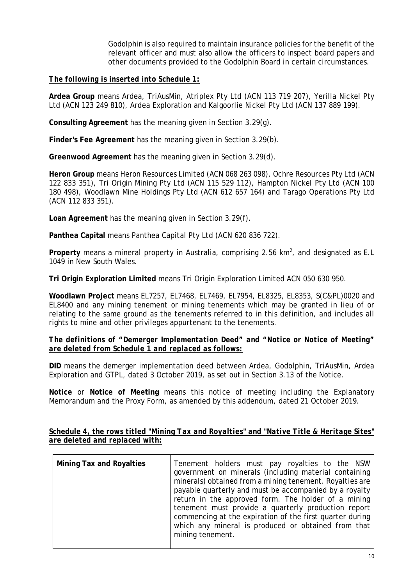Godolphin is also required to maintain insurance policies for the benefit of the relevant officer and must also allow the officers to inspect board papers and other documents provided to the Godolphin Board in certain circumstances.

# *The following is inserted into Schedule 1:*

**Ardea Group** means Ardea, TriAusMin, Atriplex Pty Ltd (ACN 113 719 207), Yerilla Nickel Pty Ltd (ACN 123 249 810), Ardea Exploration and Kalgoorlie Nickel Pty Ltd (ACN 137 889 199).

**Consulting Agreement** has the meaning given in Section 3.29(g).

**Finder's Fee Agreement** has the meaning given in Section 3.29(b).

**Greenwood Agreement** has the meaning given in Section 3.29(d).

**Heron Group** means Heron Resources Limited (ACN 068 263 098), Ochre Resources Pty Ltd (ACN 122 833 351), Tri Origin Mining Pty Ltd (ACN 115 529 112), Hampton Nickel Pty Ltd (ACN 100 180 498), Woodlawn Mine Holdings Pty Ltd (ACN 612 657 164) and Tarago Operations Pty Ltd (ACN 112 833 351).

**Loan Agreement** has the meaning given in Section 3.29(f).

**Panthea Capital** means Panthea Capital Pty Ltd (ACN 620 836 722).

Property means a mineral property in Australia, comprising 2.56 km<sup>2</sup>, and designated as E.L 1049 in New South Wales.

**Tri Origin Exploration Limited** means Tri Origin Exploration Limited ACN 050 630 950.

**Woodlawn Project** means EL7257, EL7468, EL7469, EL7954, EL8325, EL8353, S(C&PL)0020 and EL8400 and any mining tenement or mining tenements which may be granted in lieu of or relating to the same ground as the tenements referred to in this definition, and includes all rights to mine and other privileges appurtenant to the tenements.

# *The definitions of "Demerger Implementation Deed" and "Notice or Notice of Meeting" are deleted from Schedule 1 and replaced as follows:*

**DID** means the demerger implementation deed between Ardea, Godolphin, TriAusMin, Ardea Exploration and GTPL, dated 3 October 2019, as set out in Section 3.13 of the Notice.

**Notice** or **Notice of Meeting** means this notice of meeting including the Explanatory Memorandum and the Proxy Form, as amended by this addendum, dated 21 October 2019.

| <b>Mining Tax and Royalties</b> | Tenement holders must pay royalties to the NSW<br>government on minerals (including material containing<br>minerals) obtained from a mining tenement. Royalties are<br>payable quarterly and must be accompanied by a royalty<br>return in the approved form. The holder of a mining<br>tenement must provide a quarterly production report<br>commencing at the expiration of the first quarter during |
|---------------------------------|---------------------------------------------------------------------------------------------------------------------------------------------------------------------------------------------------------------------------------------------------------------------------------------------------------------------------------------------------------------------------------------------------------|
|                                 | which any mineral is produced or obtained from that<br>mining tenement.                                                                                                                                                                                                                                                                                                                                 |

*Schedule 4, the rows titled "Mining Tax and Royalties" and "Native Title & Heritage Sites" are deleted and replaced with:*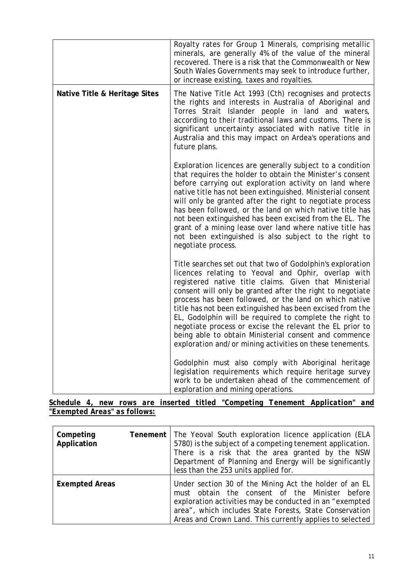|                               | Royalty rates for Group 1 Minerals, comprising metallic<br>minerals, are generally 4% of the value of the mineral<br>recovered. There is a risk that the Commonwealth or New<br>South Wales Governments may seek to introduce further,<br>or increase existing, taxes and royalties.                                                                                                                                                                                                                                                                                                                        |
|-------------------------------|-------------------------------------------------------------------------------------------------------------------------------------------------------------------------------------------------------------------------------------------------------------------------------------------------------------------------------------------------------------------------------------------------------------------------------------------------------------------------------------------------------------------------------------------------------------------------------------------------------------|
| Native Title & Heritage Sites | The Native Title Act 1993 (Cth) recognises and protects<br>the rights and interests in Australia of Aboriginal and<br>Torres Strait Islander people in land and waters,<br>according to their traditional laws and customs. There is<br>significant uncertainty associated with native title in<br>Australia and this may impact on Ardea's operations and<br>future plans.                                                                                                                                                                                                                                 |
|                               | Exploration licences are generally subject to a condition<br>that requires the holder to obtain the Minister's consent<br>before carrying out exploration activity on land where<br>native title has not been extinguished. Ministerial consent<br>will only be granted after the right to negotiate process<br>has been followed, or the land on which native title has<br>not been extinguished has been excised from the EL. The<br>grant of a mining lease over land where native title has<br>not been extinguished is also subject to the right to<br>negotiate process.                              |
|                               | Title searches set out that two of Godolphin's exploration<br>licences relating to Yeoval and Ophir, overlap with<br>registered native title claims. Given that Ministerial<br>consent will only be granted after the right to negotiate<br>process has been followed, or the land on which native<br>title has not been extinguished has been excised from the<br>EL, Godolphin will be required to complete the right to<br>negotiate process or excise the relevant the EL prior to<br>being able to obtain Ministerial consent and commence<br>exploration and/or mining activities on these tenements. |
|                               | Godolphin must also comply with Aboriginal heritage<br>legislation requirements which require heritage survey<br>work to be undertaken ahead of the commencement of<br>exploration and mining operations.                                                                                                                                                                                                                                                                                                                                                                                                   |

|                              |  |  |  | Schedule 4, new rows are inserted titled "Competing Tenement Application" and |  |
|------------------------------|--|--|--|-------------------------------------------------------------------------------|--|
| "Exempted Areas" as follows: |  |  |  |                                                                               |  |

| Competing<br>Application | Tenement | The Yeoval South exploration licence application (ELA<br>5780) is the subject of a competing tenement application.<br>There is a risk that the area granted by the NSW<br>Department of Planning and Energy will be significantly<br>less than the 253 units applied for.                  |
|--------------------------|----------|--------------------------------------------------------------------------------------------------------------------------------------------------------------------------------------------------------------------------------------------------------------------------------------------|
| <b>Exempted Areas</b>    |          | Under section 30 of the Mining Act the holder of an EL<br>must obtain the consent of the Minister before<br>exploration activities may be conducted in an "exempted<br>area", which includes State Forests, State Conservation<br>Areas and Crown Land. This currently applies to selected |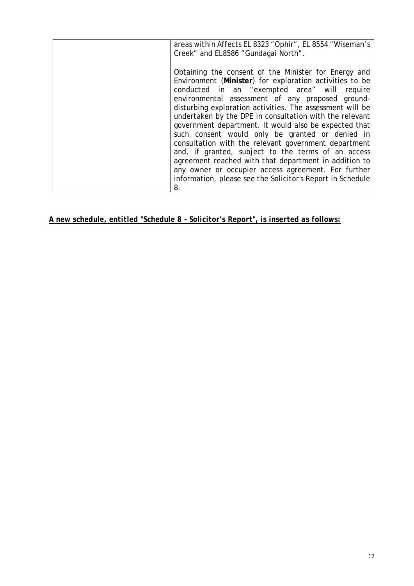| areas within Affects EL 8323 "Ophir", EL 8554 "Wiseman's<br>Creek" and EL8586 "Gundagai North".                                                                                                                                                                                                                                                                                                                                                                                                                                                                                                                                                                                                                                                           |
|-----------------------------------------------------------------------------------------------------------------------------------------------------------------------------------------------------------------------------------------------------------------------------------------------------------------------------------------------------------------------------------------------------------------------------------------------------------------------------------------------------------------------------------------------------------------------------------------------------------------------------------------------------------------------------------------------------------------------------------------------------------|
| Obtaining the consent of the Minister for Energy and<br>Environment (Minister) for exploration activities to be<br>conducted in an "exempted area" will require<br>environmental assessment of any proposed ground-<br>disturbing exploration activities. The assessment will be<br>undertaken by the DPE in consultation with the relevant<br>government department. It would also be expected that<br>such consent would only be granted or denied in<br>consultation with the relevant government department<br>and, if granted, subject to the terms of an access<br>agreement reached with that department in addition to<br>any owner or occupier access agreement. For further<br>information, please see the Solicitor's Report in Schedule<br>8. |

# *A new schedule, entitled "Schedule 8 – Solicitor's Report", is inserted as follows:*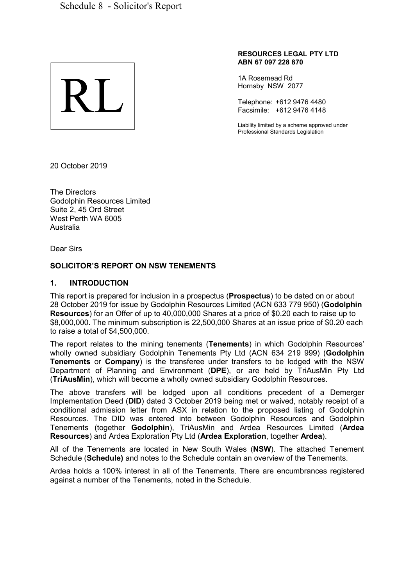

#### **RESOURCES LEGAL PTY LTD ABN 67 097 228 870**

1A Rosemead Rd Hornsby NSW 2077

Telephone: +612 9476 4480 Facsimile: +612 9476 4148

Liability limited by a scheme approved under Professional Standards Legislation

20 October 2019

The Directors Godolphin Resources Limited Suite 2, 45 Ord Street West Perth WA 6005 Australia

Dear Sirs

# **SOLICITOR'S REPORT ON NSW TENEMENTS**

# **1. INTRODUCTION**

This report is prepared for inclusion in a prospectus (**Prospectus**) to be dated on or about 28 October 2019 for issue by Godolphin Resources Limited (ACN 633 779 950) (**Godolphin Resources**) for an Offer of up to 40,000,000 Shares at a price of \$0.20 each to raise up to \$8,000,000. The minimum subscription is 22,500,000 Shares at an issue price of \$0.20 each to raise a total of \$4,500,000.

The report relates to the mining tenements (**Tenements**) in which Godolphin Resources' wholly owned subsidiary Godolphin Tenements Pty Ltd (ACN 634 219 999) (**Godolphin Tenements** or **Company**) is the transferee under transfers to be lodged with the NSW Department of Planning and Environment (**DPE**), or are held by TriAusMin Pty Ltd (**TriAusMin**), which will become a wholly owned subsidiary Godolphin Resources.

The above transfers will be lodged upon all conditions precedent of a Demerger Implementation Deed (**DID**) dated 3 October 2019 being met or waived, notably receipt of a conditional admission letter from ASX in relation to the proposed listing of Godolphin Resources. The DID was entered into between Godolphin Resources and Godolphin Tenements (together **Godolphin**), TriAusMin and Ardea Resources Limited (**Ardea Resources**) and Ardea Exploration Pty Ltd (**Ardea Exploration**, together **Ardea**).

All of the Tenements are located in New South Wales (**NSW**). The attached Tenement Schedule (**Schedule)** and notes to the Schedule contain an overview of the Tenements.

Ardea holds a 100% interest in all of the Tenements. There are encumbrances registered against a number of the Tenements, noted in the Schedule.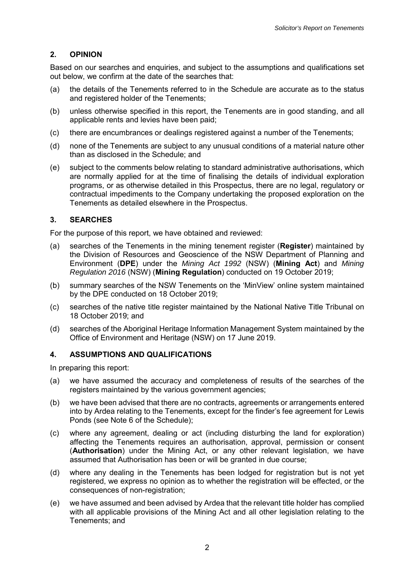# **2. OPINION**

Based on our searches and enquiries, and subject to the assumptions and qualifications set out below, we confirm at the date of the searches that:

- (a) the details of the Tenements referred to in the Schedule are accurate as to the status and registered holder of the Tenements;
- (b) unless otherwise specified in this report, the Tenements are in good standing, and all applicable rents and levies have been paid;
- (c) there are encumbrances or dealings registered against a number of the Tenements;
- (d) none of the Tenements are subject to any unusual conditions of a material nature other than as disclosed in the Schedule; and
- (e) subject to the comments below relating to standard administrative authorisations, which are normally applied for at the time of finalising the details of individual exploration programs, or as otherwise detailed in this Prospectus, there are no legal, regulatory or contractual impediments to the Company undertaking the proposed exploration on the Tenements as detailed elsewhere in the Prospectus.

# **3. SEARCHES**

For the purpose of this report, we have obtained and reviewed:

- (a) searches of the Tenements in the mining tenement register (**Register**) maintained by the Division of Resources and Geoscience of the NSW Department of Planning and Environment (**DPE**) under the *Mining Act 1992* (NSW) (**Mining Act**) and *Mining Regulation 2016* (NSW) (**Mining Regulation**) conducted on 19 October 2019;
- (b) summary searches of the NSW Tenements on the 'MinView' online system maintained by the DPE conducted on 18 October 2019;
- (c) searches of the native title register maintained by the National Native Title Tribunal on 18 October 2019; and
- (d) searches of the Aboriginal Heritage Information Management System maintained by the Office of Environment and Heritage (NSW) on 17 June 2019.

# **4. ASSUMPTIONS AND QUALIFICATIONS**

In preparing this report:

- (a) we have assumed the accuracy and completeness of results of the searches of the registers maintained by the various government agencies;
- (b) we have been advised that there are no contracts, agreements or arrangements entered into by Ardea relating to the Tenements, except for the finder's fee agreement for Lewis Ponds (see Note 6 of the Schedule);
- (c) where any agreement, dealing or act (including disturbing the land for exploration) affecting the Tenements requires an authorisation, approval, permission or consent (**Authorisation**) under the Mining Act, or any other relevant legislation, we have assumed that Authorisation has been or will be granted in due course;
- (d) where any dealing in the Tenements has been lodged for registration but is not yet registered, we express no opinion as to whether the registration will be effected, or the consequences of non-registration;
- (e) we have assumed and been advised by Ardea that the relevant title holder has complied with all applicable provisions of the Mining Act and all other legislation relating to the Tenements; and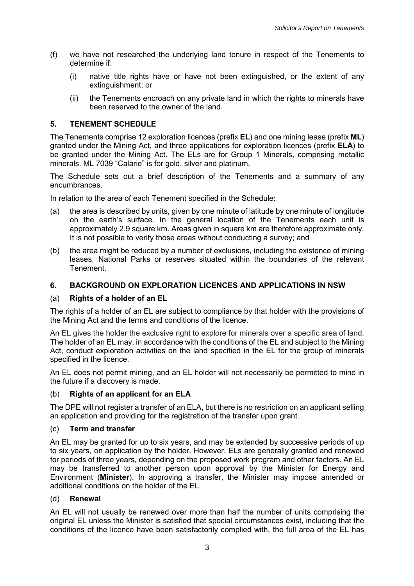- (f) we have not researched the underlying land tenure in respect of the Tenements to determine if:
	- (i) native title rights have or have not been extinguished, or the extent of any extinguishment; or
	- (ii) the Tenements encroach on any private land in which the rights to minerals have been reserved to the owner of the land.

# **5. TENEMENT SCHEDULE**

The Tenements comprise 12 exploration licences (prefix **EL**) and one mining lease (prefix **ML**) granted under the Mining Act, and three applications for exploration licences (prefix **ELA**) to be granted under the Mining Act. The ELs are for Group 1 Minerals, comprising metallic minerals. ML 7039 "Calarie" is for gold, silver and platinum.

The Schedule sets out a brief description of the Tenements and a summary of any encumbrances.

In relation to the area of each Tenement specified in the Schedule:

- (a) the area is described by units, given by one minute of latitude by one minute of longitude on the earth's surface. In the general location of the Tenements each unit is approximately 2.9 square km. Areas given in square km are therefore approximate only. It is not possible to verify those areas without conducting a survey; and
- (b) the area might be reduced by a number of exclusions, including the existence of mining leases, National Parks or reserves situated within the boundaries of the relevant Tenement.

# **6. BACKGROUND ON EXPLORATION LICENCES AND APPLICATIONS IN NSW**

# (a) **Rights of a holder of an EL**

The rights of a holder of an EL are subject to compliance by that holder with the provisions of the Mining Act and the terms and conditions of the licence.

An EL gives the holder the exclusive right to explore for minerals over a specific area of land. The holder of an EL may, in accordance with the conditions of the EL and subject to the Mining Act, conduct exploration activities on the land specified in the EL for the group of minerals specified in the licence.

An EL does not permit mining, and an EL holder will not necessarily be permitted to mine in the future if a discovery is made.

# (b) **Rights of an applicant for an ELA**

The DPE will not register a transfer of an ELA, but there is no restriction on an applicant selling an application and providing for the registration of the transfer upon grant.

# (c) **Term and transfer**

An EL may be granted for up to six years, and may be extended by successive periods of up to six years, on application by the holder. However, ELs are generally granted and renewed for periods of three years, depending on the proposed work program and other factors. An EL may be transferred to another person upon approval by the Minister for Energy and Environment (**Minister**). In approving a transfer, the Minister may impose amended or additional conditions on the holder of the EL.

# (d) **Renewal**

An EL will not usually be renewed over more than half the number of units comprising the original EL unless the Minister is satisfied that special circumstances exist, including that the conditions of the licence have been satisfactorily complied with, the full area of the EL has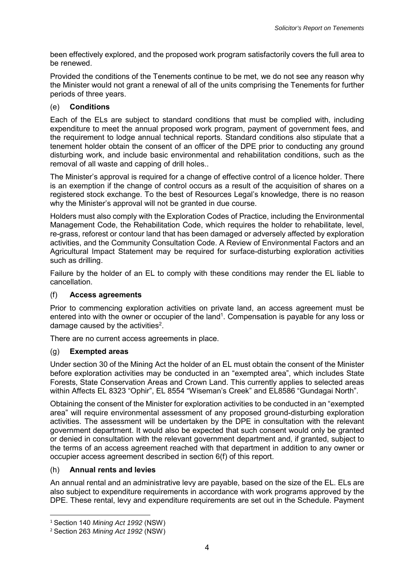been effectively explored, and the proposed work program satisfactorily covers the full area to be renewed.

Provided the conditions of the Tenements continue to be met, we do not see any reason why the Minister would not grant a renewal of all of the units comprising the Tenements for further periods of three years.

# (e) **Conditions**

Each of the ELs are subject to standard conditions that must be complied with, including expenditure to meet the annual proposed work program, payment of government fees, and the requirement to lodge annual technical reports. Standard conditions also stipulate that a tenement holder obtain the consent of an officer of the DPE prior to conducting any ground disturbing work, and include basic environmental and rehabilitation conditions, such as the removal of all waste and capping of drill holes..

The Minister's approval is required for a change of effective control of a licence holder. There is an exemption if the change of control occurs as a result of the acquisition of shares on a registered stock exchange. To the best of Resources Legal's knowledge, there is no reason why the Minister's approval will not be granted in due course.

Holders must also comply with the Exploration Codes of Practice, including the Environmental Management Code, the Rehabilitation Code, which requires the holder to rehabilitate, level, re-grass, reforest or contour land that has been damaged or adversely affected by exploration activities, and the Community Consultation Code. A Review of Environmental Factors and an Agricultural Impact Statement may be required for surface-disturbing exploration activities such as drilling.

Failure by the holder of an EL to comply with these conditions may render the EL liable to cancellation.

# (f) **Access agreements**

Prior to commencing exploration activities on private land, an access agreement must be entered into with the owner or occupier of the land<sup>1</sup>. Compensation is payable for any loss or damage caused by the activities $2$ .

There are no current access agreements in place.

# (g) **Exempted areas**

Under section 30 of the Mining Act the holder of an EL must obtain the consent of the Minister before exploration activities may be conducted in an "exempted area", which includes State Forests, State Conservation Areas and Crown Land. This currently applies to selected areas within Affects EL 8323 "Ophir", EL 8554 "Wiseman's Creek" and EL8586 "Gundagai North".

Obtaining the consent of the Minister for exploration activities to be conducted in an "exempted area" will require environmental assessment of any proposed ground-disturbing exploration activities. The assessment will be undertaken by the DPE in consultation with the relevant government department. It would also be expected that such consent would only be granted or denied in consultation with the relevant government department and, if granted, subject to the terms of an access agreement reached with that department in addition to any owner or occupier access agreement described in section 6(f) of this report.

# (h) **Annual rents and levies**

An annual rental and an administrative levy are payable, based on the size of the EL. ELs are also subject to expenditure requirements in accordance with work programs approved by the DPE. These rental, levy and expenditure requirements are set out in the Schedule. Payment

 $\overline{\phantom{a}}$ 

<sup>1</sup> Section 140 *Mining Act 1992* (NSW)

<sup>2</sup> Section 263 *Mining Act 1992* (NSW)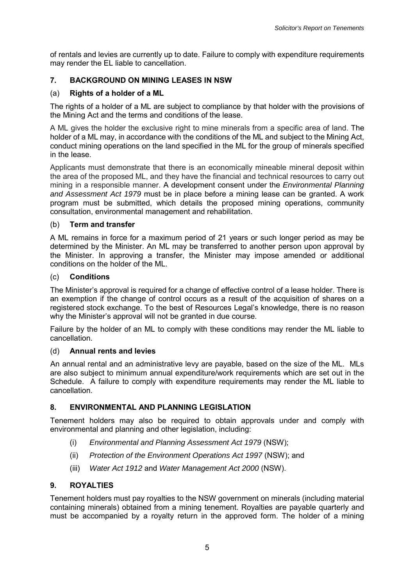of rentals and levies are currently up to date. Failure to comply with expenditure requirements may render the EL liable to cancellation.

# **7. BACKGROUND ON MINING LEASES IN NSW**

# (a) **Rights of a holder of a ML**

The rights of a holder of a ML are subject to compliance by that holder with the provisions of the Mining Act and the terms and conditions of the lease.

A ML gives the holder the exclusive right to mine minerals from a specific area of land. The holder of a ML may, in accordance with the conditions of the ML and subject to the Mining Act, conduct mining operations on the land specified in the ML for the group of minerals specified in the lease.

Applicants must demonstrate that there is an economically mineable mineral deposit within the area of the proposed ML, and they have the financial and technical resources to carry out mining in a responsible manner. A development consent under the *Environmental Planning and Assessment Act 1979* must be in place before a mining lease can be granted. A work program must be submitted, which details the proposed mining operations, community consultation, environmental management and rehabilitation.

# (b) **Term and transfer**

A ML remains in force for a maximum period of 21 years or such longer period as may be determined by the Minister. An ML may be transferred to another person upon approval by the Minister. In approving a transfer, the Minister may impose amended or additional conditions on the holder of the ML.

# (c) **Conditions**

The Minister's approval is required for a change of effective control of a lease holder. There is an exemption if the change of control occurs as a result of the acquisition of shares on a registered stock exchange. To the best of Resources Legal's knowledge, there is no reason why the Minister's approval will not be granted in due course.

Failure by the holder of an ML to comply with these conditions may render the ML liable to cancellation.

# (d) **Annual rents and levies**

An annual rental and an administrative levy are payable, based on the size of the ML. MLs are also subject to minimum annual expenditure/work requirements which are set out in the Schedule. A failure to comply with expenditure requirements may render the ML liable to cancellation.

# **8. ENVIRONMENTAL AND PLANNING LEGISLATION**

Tenement holders may also be required to obtain approvals under and comply with environmental and planning and other legislation, including:

- (i) *Environmental and Planning Assessment Act 1979* (NSW);
- (ii) *Protection of the Environment Operations Act 1997* (NSW); and
- (iii) *Water Act 1912* and *Water Management Act 2000* (NSW).

# **9. ROYALTIES**

Tenement holders must pay royalties to the NSW government on minerals (including material containing minerals) obtained from a mining tenement. Royalties are payable quarterly and must be accompanied by a royalty return in the approved form. The holder of a mining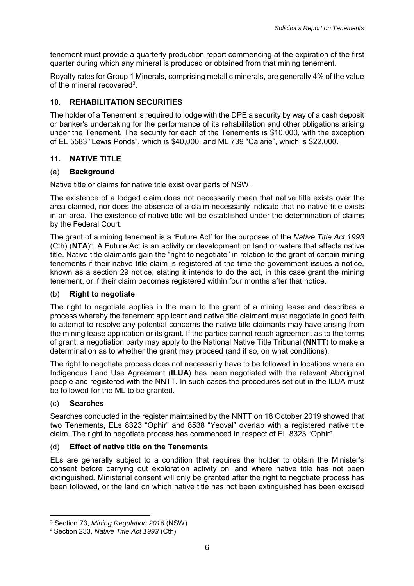tenement must provide a quarterly production report commencing at the expiration of the first quarter during which any mineral is produced or obtained from that mining tenement.

Royalty rates for Group 1 Minerals, comprising metallic minerals, are generally 4% of the value of the mineral recovered<sup>3</sup>.

# **10. REHABILITATION SECURITIES**

The holder of a Tenement is required to lodge with the DPE a security by way of a cash deposit or banker's undertaking for the performance of its rehabilitation and other obligations arising under the Tenement. The security for each of the Tenements is \$10,000, with the exception of EL 5583 "Lewis Ponds", which is \$40,000, and ML 739 "Calarie", which is \$22,000.

# **11. NATIVE TITLE**

# (a) **Background**

Native title or claims for native title exist over parts of NSW.

The existence of a lodged claim does not necessarily mean that native title exists over the area claimed, nor does the absence of a claim necessarily indicate that no native title exists in an area. The existence of native title will be established under the determination of claims by the Federal Court.

The grant of a mining tenement is a 'Future Act' for the purposes of the *Native Title Act 1993*  (Cth) (NTA)<sup>4</sup>. A Future Act is an activity or development on land or waters that affects native title. Native title claimants gain the "right to negotiate" in relation to the grant of certain mining tenements if their native title claim is registered at the time the government issues a notice, known as a section 29 notice, stating it intends to do the act, in this case grant the mining tenement, or if their claim becomes registered within four months after that notice.

# (b) **Right to negotiate**

The right to negotiate applies in the main to the grant of a mining lease and describes a process whereby the tenement applicant and native title claimant must negotiate in good faith to attempt to resolve any potential concerns the native title claimants may have arising from the mining lease application or its grant. If the parties cannot reach agreement as to the terms of grant, a negotiation party may apply to the National Native Title Tribunal (**NNTT**) to make a determination as to whether the grant may proceed (and if so, on what conditions).

The right to negotiate process does not necessarily have to be followed in locations where an Indigenous Land Use Agreement (**ILUA**) has been negotiated with the relevant Aboriginal people and registered with the NNTT. In such cases the procedures set out in the ILUA must be followed for the ML to be granted.

# (c) **Searches**

l

Searches conducted in the register maintained by the NNTT on 18 October 2019 showed that two Tenements, ELs 8323 "Ophir" and 8538 "Yeoval" overlap with a registered native title claim. The right to negotiate process has commenced in respect of EL 8323 "Ophir".

# (d) **Effect of native title on the Tenements**

ELs are generally subject to a condition that requires the holder to obtain the Minister's consent before carrying out exploration activity on land where native title has not been extinguished. Ministerial consent will only be granted after the right to negotiate process has been followed, or the land on which native title has not been extinguished has been excised

<sup>3</sup> Section 73, *Mining Regulation 2016* (NSW)

<sup>4</sup> Section 233, *Native Title Act 1993* (Cth)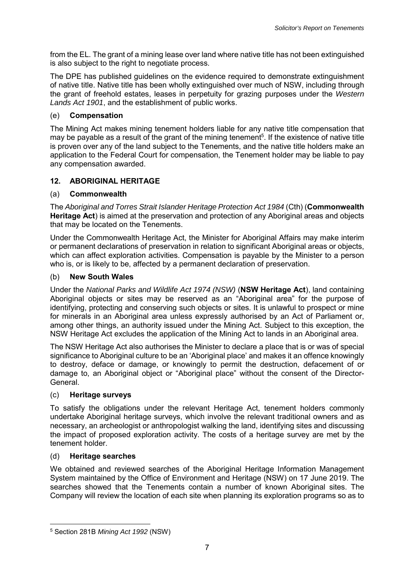from the EL. The grant of a mining lease over land where native title has not been extinguished is also subject to the right to negotiate process.

The DPE has published guidelines on the evidence required to demonstrate extinguishment of native title. Native title has been wholly extinguished over much of NSW, including through the grant of freehold estates, leases in perpetuity for grazing purposes under the *Western Lands Act 1901*, and the establishment of public works.

# (e) **Compensation**

The Mining Act makes mining tenement holders liable for any native title compensation that may be payable as a result of the grant of the mining tenement<sup>5</sup>. If the existence of native title is proven over any of the land subject to the Tenements, and the native title holders make an application to the Federal Court for compensation, the Tenement holder may be liable to pay any compensation awarded.

# **12. ABORIGINAL HERITAGE**

# (a) **Commonwealth**

The *Aboriginal and Torres Strait Islander Heritage Protection Act 1984* (Cth) (**Commonwealth Heritage Act**) is aimed at the preservation and protection of any Aboriginal areas and objects that may be located on the Tenements.

Under the Commonwealth Heritage Act, the Minister for Aboriginal Affairs may make interim or permanent declarations of preservation in relation to significant Aboriginal areas or objects, which can affect exploration activities. Compensation is payable by the Minister to a person who is, or is likely to be, affected by a permanent declaration of preservation.

# (b) **New South Wales**

Under the *National Parks and Wildlife Act 1974 (NSW)* (**NSW Heritage Act**), land containing Aboriginal objects or sites may be reserved as an "Aboriginal area" for the purpose of identifying, protecting and conserving such objects or sites. It is unlawful to prospect or mine for minerals in an Aboriginal area unless expressly authorised by an Act of Parliament or, among other things, an authority issued under the Mining Act. Subject to this exception, the NSW Heritage Act excludes the application of the Mining Act to lands in an Aboriginal area.

The NSW Heritage Act also authorises the Minister to declare a place that is or was of special significance to Aboriginal culture to be an 'Aboriginal place' and makes it an offence knowingly to destroy, deface or damage, or knowingly to permit the destruction, defacement of or damage to, an Aboriginal object or "Aboriginal place" without the consent of the Director-General.

# (c) **Heritage surveys**

To satisfy the obligations under the relevant Heritage Act, tenement holders commonly undertake Aboriginal heritage surveys, which involve the relevant traditional owners and as necessary, an archeologist or anthropologist walking the land, identifying sites and discussing the impact of proposed exploration activity. The costs of a heritage survey are met by the tenement holder.

# (d) **Heritage searches**

 $\overline{\phantom{a}}$ 

We obtained and reviewed searches of the Aboriginal Heritage Information Management System maintained by the Office of Environment and Heritage (NSW) on 17 June 2019. The searches showed that the Tenements contain a number of known Aboriginal sites. The Company will review the location of each site when planning its exploration programs so as to

<sup>5</sup> Section 281B *Mining Act 1992* (NSW)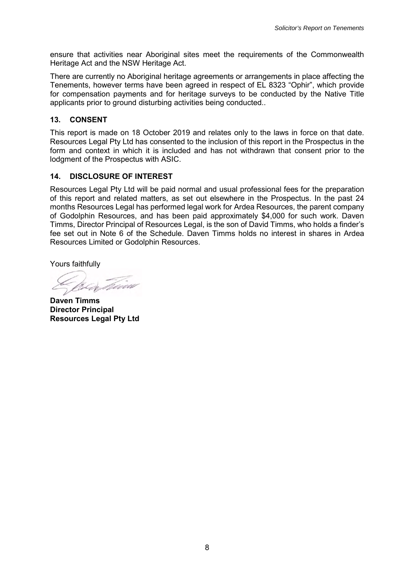ensure that activities near Aboriginal sites meet the requirements of the Commonwealth Heritage Act and the NSW Heritage Act.

There are currently no Aboriginal heritage agreements or arrangements in place affecting the Tenements, however terms have been agreed in respect of EL 8323 "Ophir", which provide for compensation payments and for heritage surveys to be conducted by the Native Title applicants prior to ground disturbing activities being conducted..

# **13. CONSENT**

This report is made on 18 October 2019 and relates only to the laws in force on that date. Resources Legal Pty Ltd has consented to the inclusion of this report in the Prospectus in the form and context in which it is included and has not withdrawn that consent prior to the lodgment of the Prospectus with ASIC.

# **14. DISCLOSURE OF INTEREST**

Resources Legal Pty Ltd will be paid normal and usual professional fees for the preparation of this report and related matters, as set out elsewhere in the Prospectus. In the past 24 months Resources Legal has performed legal work for Ardea Resources, the parent company of Godolphin Resources, and has been paid approximately \$4,000 for such work. Daven Timms, Director Principal of Resources Legal, is the son of David Timms, who holds a finder's fee set out in Note 6 of the Schedule. Daven Timms holds no interest in shares in Ardea Resources Limited or Godolphin Resources.

Yours faithfully

**Daven Timms Director Principal Resources Legal Pty Ltd**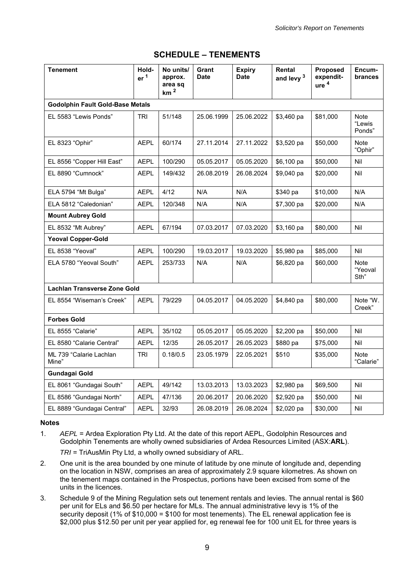| <b>Tenement</b>                         | Hold-<br>er <sup>1</sup> | No units/<br>approx.<br>area sq<br>km <sup>2</sup> | Grant<br><b>Date</b> | <b>Expiry</b><br><b>Date</b> | Rental<br>and levy <sup>3</sup> | Proposed<br>expendit-<br>ure <sup>4</sup> | Encum-<br>brances        |
|-----------------------------------------|--------------------------|----------------------------------------------------|----------------------|------------------------------|---------------------------------|-------------------------------------------|--------------------------|
| <b>Godolphin Fault Gold-Base Metals</b> |                          |                                                    |                      |                              |                                 |                                           |                          |
| EL 5583 "Lewis Ponds"                   | TRI                      | 51/148                                             | 25.06.1999           | 25.06.2022                   | \$3,460 pa                      | \$81,000                                  | Note<br>"Lewis<br>Ponds" |
| EL 8323 "Ophir"                         | <b>AEPL</b>              | 60/174                                             | 27.11.2014           | 27.11.2022                   | \$3,520 pa                      | \$50,000                                  | Note<br>"Ophir"          |
| EL 8556 "Copper Hill East"              | <b>AEPL</b>              | 100/290                                            | 05.05.2017           | 05.05.2020                   | \$6,100 pa                      | \$50,000                                  | Nil                      |
| EL 8890 "Cumnock"                       | <b>AEPL</b>              | 149/432                                            | 26.08.2019           | 26.08.2024                   | \$9,040 pa                      | \$20,000                                  | Nil                      |
| ELA 5794 "Mt Bulga"                     | <b>AEPL</b>              | 4/12                                               | N/A                  | N/A                          | \$340 pa                        | \$10,000                                  | N/A                      |
| ELA 5812 "Caledonian"                   | <b>AEPL</b>              | 120/348                                            | N/A                  | N/A                          | \$7,300 pa                      | \$20,000                                  | N/A                      |
| <b>Mount Aubrey Gold</b>                |                          |                                                    |                      |                              |                                 |                                           |                          |
| EL 8532 "Mt Aubrey"                     | <b>AEPL</b>              | 67/194                                             | 07.03.2017           | 07.03.2020                   | $$3,160$ pa                     | \$80,000                                  | Nil                      |
| <b>Yeoval Copper-Gold</b>               |                          |                                                    |                      |                              |                                 |                                           |                          |
| EL 8538 "Yeoval"                        | <b>AEPL</b>              | 100/290                                            | 19.03.2017           | 19.03.2020                   | \$5,980 pa                      | \$85,000                                  | Nil                      |
| ELA 5780 "Yeoval South"                 | <b>AEPL</b>              | 253/733                                            | N/A                  | N/A                          | \$6,820 pa                      | \$60,000                                  | Note<br>"Yeoval<br>Sth"  |
| Lachlan Transverse Zone Gold            |                          |                                                    |                      |                              |                                 |                                           |                          |
| EL 8554 "Wiseman's Creek"               | <b>AEPL</b>              | 79/229                                             | 04.05.2017           | 04.05.2020                   | \$4,840 pa                      | \$80,000                                  | Note "W.<br>Creek"       |
| <b>Forbes Gold</b>                      |                          |                                                    |                      |                              |                                 |                                           |                          |
| EL 8555 "Calarie"                       | <b>AEPL</b>              | 35/102                                             | 05.05.2017           | 05.05.2020                   | \$2,200 pa                      | \$50,000                                  | Nil                      |
| EL 8580 "Calarie Central"               | <b>AEPL</b>              | 12/35                                              | 26.05.2017           | 26.05.2023                   | \$880 pa                        | \$75,000                                  | Nil                      |
| ML 739 "Calarie Lachlan<br>Mine"        | <b>TRI</b>               | 0.18/0.5                                           | 23.05.1979           | 22.05.2021                   | \$510                           | \$35,000                                  | <b>Note</b><br>"Calarie" |
| <b>Gundagai Gold</b>                    |                          |                                                    |                      |                              |                                 |                                           |                          |
| EL 8061 "Gundagai South"                | <b>AEPL</b>              | 49/142                                             | 13.03.2013           | 13.03.2023                   | \$2,980 pa                      | \$69,500                                  | Nil                      |
| EL 8586 "Gundagai North"                | <b>AEPL</b>              | 47/136                                             | 20.06.2017           | 20.06.2020                   | \$2,920 pa                      | \$50,000                                  | Nil                      |
| EL 8889 "Gundagai Central"              | AEPL                     | 32/93                                              | 26.08.2019           | 26.08.2024                   | \$2,020 pa                      | \$30,000                                  | Nil                      |

# **SCHEDULE – TENEMENTS**

#### **Notes**

1. *AEPL* = Ardea Exploration Pty Ltd. At the date of this report AEPL, Godolphin Resources and Godolphin Tenements are wholly owned subsidiaries of Ardea Resources Limited (ASX:**ARL**).

*TRI* = TriAusMin Pty Ltd, a wholly owned subsidiary of ARL.

- 2. One unit is the area bounded by one minute of latitude by one minute of longitude and, depending on the location in NSW, comprises an area of approximately 2.9 square kilometres. As shown on the tenement maps contained in the Prospectus, portions have been excised from some of the units in the licences.
- 3. Schedule 9 of the Mining Regulation sets out tenement rentals and levies. The annual rental is \$60 per unit for ELs and \$6.50 per hectare for MLs. The annual administrative levy is 1% of the security deposit (1% of \$10,000 = \$100 for most tenements). The EL renewal application fee is \$2,000 plus \$12.50 per unit per year applied for, eg renewal fee for 100 unit EL for three years is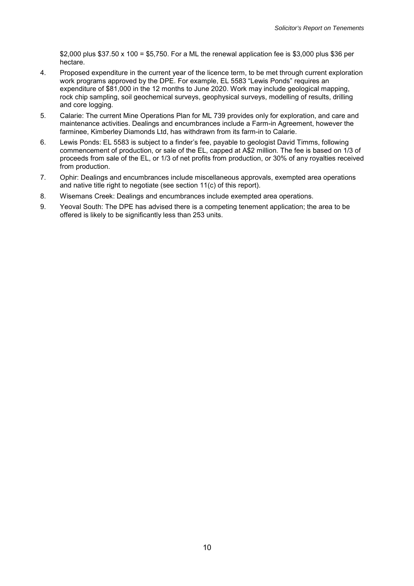\$2,000 plus \$37.50 x 100 = \$5,750. For a ML the renewal application fee is \$3,000 plus \$36 per hectare.

- 4. Proposed expenditure in the current year of the licence term, to be met through current exploration work programs approved by the DPE. For example, EL 5583 "Lewis Ponds" requires an expenditure of \$81,000 in the 12 months to June 2020. Work may include geological mapping, rock chip sampling, soil geochemical surveys, geophysical surveys, modelling of results, drilling and core logging.
- 5. Calarie: The current Mine Operations Plan for ML 739 provides only for exploration, and care and maintenance activities. Dealings and encumbrances include a Farm-in Agreement, however the farminee, Kimberley Diamonds Ltd, has withdrawn from its farm-in to Calarie.
- 6. Lewis Ponds: EL 5583 is subject to a finder's fee, payable to geologist David Timms, following commencement of production, or sale of the EL, capped at A\$2 million. The fee is based on 1/3 of proceeds from sale of the EL, or 1/3 of net profits from production, or 30% of any royalties received from production.
- 7. Ophir: Dealings and encumbrances include miscellaneous approvals, exempted area operations and native title right to negotiate (see section 11(c) of this report).
- 8. Wisemans Creek: Dealings and encumbrances include exempted area operations.
- 9. Yeoval South: The DPE has advised there is a competing tenement application; the area to be offered is likely to be significantly less than 253 units.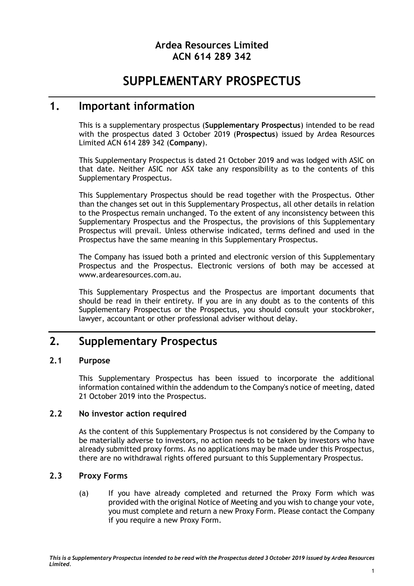# **Ardea Resources Limited ACN 614 289 342**

# **SUPPLEMENTARY PROSPECTUS**

# **1. Important information**

This is a supplementary prospectus (**Supplementary Prospectus**) intended to be read with the prospectus dated 3 October 2019 (**Prospectus**) issued by Ardea Resources Limited ACN 614 289 342 (**Company**).

This Supplementary Prospectus is dated 21 October 2019 and was lodged with ASIC on that date. Neither ASIC nor ASX take any responsibility as to the contents of this Supplementary Prospectus.

This Supplementary Prospectus should be read together with the Prospectus. Other than the changes set out in this Supplementary Prospectus, all other details in relation to the Prospectus remain unchanged. To the extent of any inconsistency between this Supplementary Prospectus and the Prospectus, the provisions of this Supplementary Prospectus will prevail. Unless otherwise indicated, terms defined and used in the Prospectus have the same meaning in this Supplementary Prospectus.

The Company has issued both a printed and electronic version of this Supplementary Prospectus and the Prospectus. Electronic versions of both may be accessed at www.ardearesources.com.au.

This Supplementary Prospectus and the Prospectus are important documents that should be read in their entirety. If you are in any doubt as to the contents of this Supplementary Prospectus or the Prospectus, you should consult your stockbroker, lawyer, accountant or other professional adviser without delay.

# **2. Supplementary Prospectus**

# **2.1 Purpose**

This Supplementary Prospectus has been issued to incorporate the additional information contained within the addendum to the Company's notice of meeting, dated 21 October 2019 into the Prospectus.

# **2.2 No investor action required**

As the content of this Supplementary Prospectus is not considered by the Company to be materially adverse to investors, no action needs to be taken by investors who have already submitted proxy forms. As no applications may be made under this Prospectus, there are no withdrawal rights offered pursuant to this Supplementary Prospectus.

# **2.3 Proxy Forms**

(a) If you have already completed and returned the Proxy Form which was provided with the original Notice of Meeting and you wish to change your vote, you must complete and return a new Proxy Form. Please contact the Company if you require a new Proxy Form.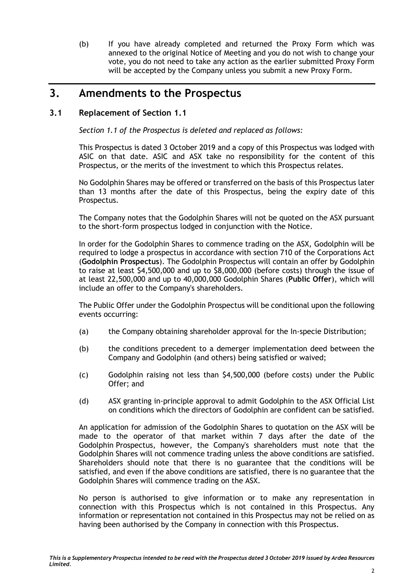(b) If you have already completed and returned the Proxy Form which was annexed to the original Notice of Meeting and you do not wish to change your vote, you do not need to take any action as the earlier submitted Proxy Form will be accepted by the Company unless you submit a new Proxy Form.

# **3. Amendments to the Prospectus**

# <span id="page-25-0"></span>**3.1 Replacement of Section 1.1**

*Section 1.1 of the Prospectus is deleted and replaced as follows:*

This Prospectus is dated 3 October 2019 and a copy of this Prospectus was lodged with ASIC on that date. ASIC and ASX take no responsibility for the content of this Prospectus, or the merits of the investment to which this Prospectus relates.

No Godolphin Shares may be offered or transferred on the basis of this Prospectus later than 13 months after the date of this Prospectus, being the expiry date of this Prospectus.

The Company notes that the Godolphin Shares will not be quoted on the ASX pursuant to the short-form prospectus lodged in conjunction with the Notice.

In order for the Godolphin Shares to commence trading on the ASX, Godolphin will be required to lodge a prospectus in accordance with section 710 of the Corporations Act (**Godolphin Prospectus**). The Godolphin Prospectus will contain an offer by Godolphin to raise at least \$4,500,000 and up to \$8,000,000 (before costs) through the issue of at least 22,500,000 and up to 40,000,000 Godolphin Shares (**Public Offer**), which will include an offer to the Company's shareholders.

The Public Offer under the Godolphin Prospectus will be conditional upon the following events occurring:

- (a) the Company obtaining shareholder approval for the In-specie Distribution;
- (b) the conditions precedent to a demerger implementation deed between the Company and Godolphin (and others) being satisfied or waived;
- (c) Godolphin raising not less than \$4,500,000 (before costs) under the Public Offer; and
- (d) ASX granting in-principle approval to admit Godolphin to the ASX Official List on conditions which the directors of Godolphin are confident can be satisfied.

An application for admission of the Godolphin Shares to quotation on the ASX will be made to the operator of that market within 7 days after the date of the Godolphin Prospectus, however, the Company's shareholders must note that the Godolphin Shares will not commence trading unless the above conditions are satisfied. Shareholders should note that there is no guarantee that the conditions will be satisfied, and even if the above conditions are satisfied, there is no guarantee that the Godolphin Shares will commence trading on the ASX.

No person is authorised to give information or to make any representation in connection with this Prospectus which is not contained in this Prospectus. Any information or representation not contained in this Prospectus may not be relied on as having been authorised by the Company in connection with this Prospectus.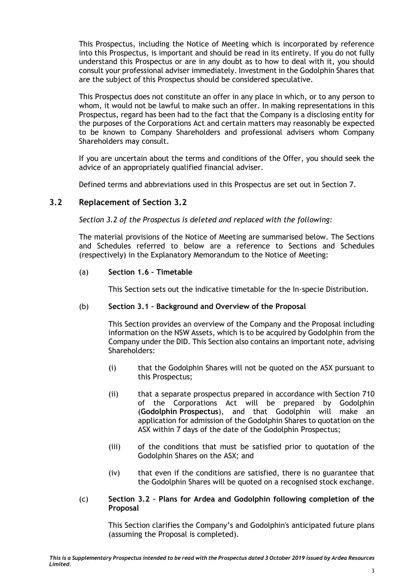This Prospectus, including the Notice of Meeting which is incorporated by reference into this Prospectus, is important and should be read in its entirety. If you do not fully understand this Prospectus or are in any doubt as to how to deal with it, you should consult your professional adviser immediately. Investment in the Godolphin Shares that are the subject of this Prospectus should be considered speculative.

This Prospectus does not constitute an offer in any place in which, or to any person to whom, it would not be lawful to make such an offer. In making representations in this Prospectus, regard has been had to the fact that the Company is a disclosing entity for the purposes of the Corporations Act and certain matters may reasonably be expected to be known to Company Shareholders and professional advisers whom Company Shareholders may consult.

If you are uncertain about the terms and conditions of the Offer, you should seek the advice of an appropriately qualified financial adviser.

Defined terms and abbreviations used in this Prospectus are set out in Section 7.

# **3.2 Replacement of Section 3.2**

*Section 3.2 of the Prospectus is deleted and replaced with the following:*

The material provisions of the Notice of Meeting are summarised below. The Sections and Schedules referred to below are a reference to Sections and Schedules (respectively) in the Explanatory Memorandum to the Notice of Meeting:

(a) **Section 1.6 – Timetable**

This Section sets out the indicative timetable for the In-specie Distribution.

# (b) **Section 3.1 – Background and Overview of the Proposal**

This Section provides an overview of the Company and the Proposal including information on the NSW Assets, which is to be acquired by Godolphin from the Company under the DID. This Section also contains an important note, advising Shareholders:

- (i) that the Godolphin Shares will not be quoted on the ASX pursuant to this Prospectus;
- (ii) that a separate prospectus prepared in accordance with Section 710 of the Corporations Act will be prepared by Godolphin (**Godolphin Prospectus**), and that Godolphin will make an application for admission of the Godolphin Shares to quotation on the ASX within 7 days of the date of the Godolphin Prospectus;
- (iii) of the conditions that must be satisfied prior to quotation of the Godolphin Shares on the ASX; and
- (iv) that even if the conditions are satisfied, there is no guarantee that the Godolphin Shares will be quoted on a recognised stock exchange.
- (c) **Section 3.2 – Plans for Ardea and Godolphin following completion of the Proposal**

This Section clarifies the Company's and Godolphin's anticipated future plans (assuming the Proposal is completed).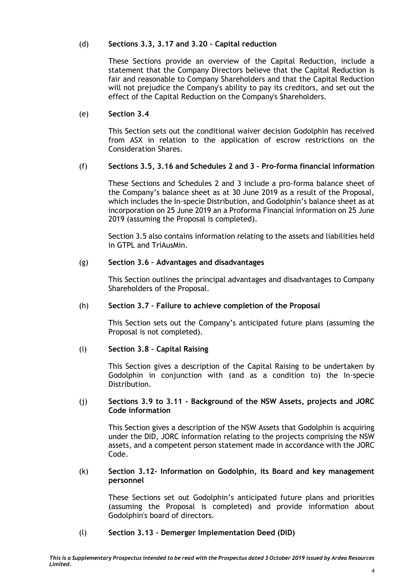# (d) **Sections 3.3, 3.17 and 3.20 – Capital reduction**

These Sections provide an overview of the Capital Reduction, include a statement that the Company Directors believe that the Capital Reduction is fair and reasonable to Company Shareholders and that the Capital Reduction will not prejudice the Company's ability to pay its creditors, and set out the effect of the Capital Reduction on the Company's Shareholders.

# (e) **Section 3.4**

This Section sets out the conditional waiver decision Godolphin has received from ASX in relation to the application of escrow restrictions on the Consideration Shares.

# (f) **Sections 3.5, 3.16 and Schedules 2 and 3 – Pro-forma financial information**

These Sections and Schedules 2 and 3 include a pro-forma balance sheet of the Company's balance sheet as at 30 June 2019 as a result of the Proposal, which includes the In-specie Distribution, and Godolphin's balance sheet as at incorporation on 25 June 2019 an a Proforma Financial information on 25 June 2019 (assuming the Proposal is completed).

Section 3.5 also contains information relating to the assets and liabilities held in GTPL and TriAusMin.

# (g) **Section 3.6 – Advantages and disadvantages**

This Section outlines the principal advantages and disadvantages to Company Shareholders of the Proposal.

# (h) **Section 3.7 – Failure to achieve completion of the Proposal**

This Section sets out the Company's anticipated future plans (assuming the Proposal is not completed).

# (i) **Section 3.8 – Capital Raising**

This Section gives a description of the Capital Raising to be undertaken by Godolphin in conjunction with (and as a condition to) the In-specie Distribution.

#### (j) **Sections 3.9 to 3.11 – Background of the NSW Assets, projects and JORC Code information**

This Section gives a description of the NSW Assets that Godolphin is acquiring under the DID, JORC information relating to the projects comprising the NSW assets, and a competent person statement made in accordance with the JORC Code.

#### (k) **Section 3.12- Information on Godolphin, its Board and key management personnel**

These Sections set out Godolphin's anticipated future plans and priorities (assuming the Proposal is completed) and provide information about Godolphin's board of directors.

# (l) **Section 3.13 – Demerger Implementation Deed (DID)**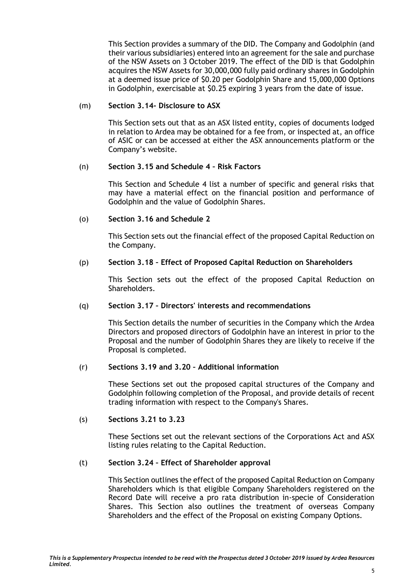This Section provides a summary of the DID. The Company and Godolphin (and their various subsidiaries) entered into an agreement for the sale and purchase of the NSW Assets on 3 October 2019. The effect of the DID is that Godolphin acquires the NSW Assets for 30,000,000 fully paid ordinary shares in Godolphin at a deemed issue price of \$0.20 per Godolphin Share and 15,000,000 Options in Godolphin, exercisable at \$0.25 expiring 3 years from the date of issue.

### (m) **Section 3.14- Disclosure to ASX**

This Section sets out that as an ASX listed entity, copies of documents lodged in relation to Ardea may be obtained for a fee from, or inspected at, an office of ASIC or can be accessed at either the ASX announcements platform or the Company's website.

#### (n) **Section 3.15 and Schedule 4 – Risk Factors**

This Section and Schedule 4 list a number of specific and general risks that may have a material effect on the financial position and performance of Godolphin and the value of Godolphin Shares.

# (o) **Section 3.16 and Schedule 2**

This Section sets out the financial effect of the proposed Capital Reduction on the Company.

#### (p) **Section 3.18 – Effect of Proposed Capital Reduction on Shareholders**

This Section sets out the effect of the proposed Capital Reduction on Shareholders.

#### (q) **Section 3.17 – Directors' interests and recommendations**

This Section details the number of securities in the Company which the Ardea Directors and proposed directors of Godolphin have an interest in prior to the Proposal and the number of Godolphin Shares they are likely to receive if the Proposal is completed.

#### (r) **Sections 3.19 and 3.20 – Additional information**

These Sections set out the proposed capital structures of the Company and Godolphin following completion of the Proposal, and provide details of recent trading information with respect to the Company's Shares.

#### (s) **Sections 3.21 to 3.23**

These Sections set out the relevant sections of the Corporations Act and ASX listing rules relating to the Capital Reduction.

# (t) **Section 3.24 – Effect of Shareholder approval**

This Section outlines the effect of the proposed Capital Reduction on Company Shareholders which is that eligible Company Shareholders registered on the Record Date will receive a pro rata distribution in-specie of Consideration Shares. This Section also outlines the treatment of overseas Company Shareholders and the effect of the Proposal on existing Company Options.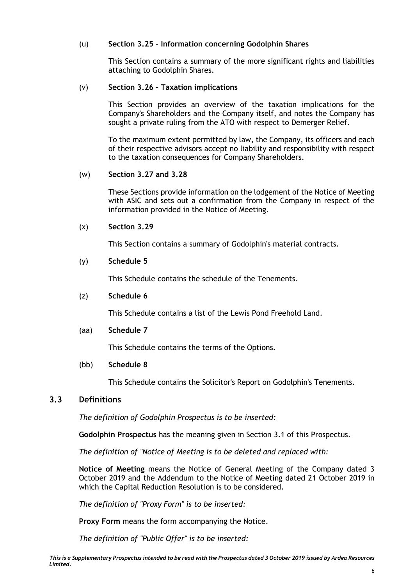# (u) **Section 3.25 - Information concerning Godolphin Shares**

This Section contains a summary of the more significant rights and liabilities attaching to Godolphin Shares.

### (v) **Section 3.26 – Taxation implications**

This Section provides an overview of the taxation implications for the Company's Shareholders and the Company itself, and notes the Company has sought a private ruling from the ATO with respect to Demerger Relief.

To the maximum extent permitted by law, the Company, its officers and each of their respective advisors accept no liability and responsibility with respect to the taxation consequences for Company Shareholders.

#### (w) **Section 3.27 and 3.28**

These Sections provide information on the lodgement of the Notice of Meeting with ASIC and sets out a confirmation from the Company in respect of the information provided in the Notice of Meeting.

#### (x) **Section 3.29**

This Section contains a summary of Godolphin's material contracts.

#### (y) **Schedule 5**

This Schedule contains the schedule of the Tenements.

### (z) **Schedule 6**

This Schedule contains a list of the Lewis Pond Freehold Land.

#### (aa) **Schedule 7**

This Schedule contains the terms of the Options.

### (bb) **Schedule 8**

This Schedule contains the Solicitor's Report on Godolphin's Tenements.

# **3.3 Definitions**

*The definition of Godolphin Prospectus is to be inserted:*

**Godolphin Prospectus** has the meaning given in Section [3.1](#page-25-0) of this Prospectus.

*The definition of "Notice of Meeting is to be deleted and replaced with:*

**Notice of Meeting** means the Notice of General Meeting of the Company dated 3 October 2019 and the Addendum to the Notice of Meeting dated 21 October 2019 in which the Capital Reduction Resolution is to be considered.

*The definition of "Proxy Form" is to be inserted:*

**Proxy Form** means the form accompanying the Notice.

*The definition of "Public Offer" is to be inserted:*